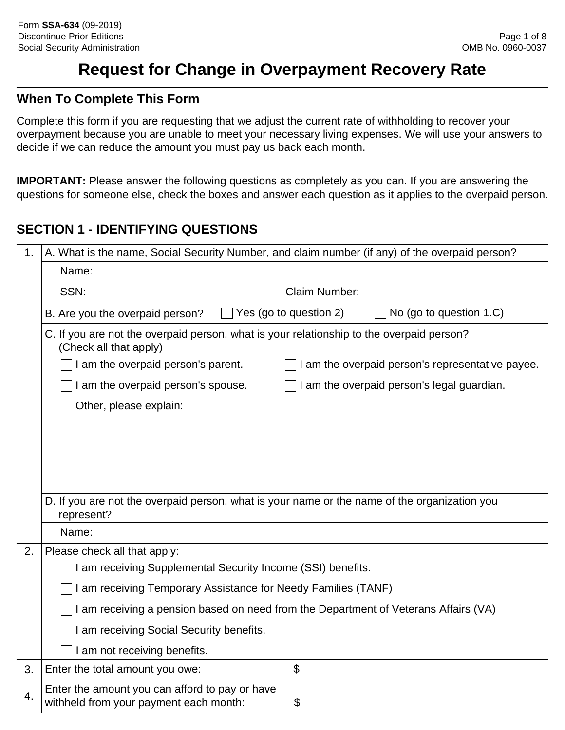# **Request for Change in Overpayment Recovery Rate**

#### **When To Complete This Form**

Complete this form if you are requesting that we adjust the current rate of withholding to recover your overpayment because you are unable to meet your necessary living expenses. We will use your answers to decide if we can reduce the amount you must pay us back each month.

**IMPORTANT:** Please answer the following questions as completely as you can. If you are answering the questions for someone else, check the boxes and answer each question as it applies to the overpaid person.

# **SECTION 1 - IDENTIFYING QUESTIONS**

| 1. | A. What is the name, Social Security Number, and claim number (if any) of the overpaid person?                     |                                                  |  |  |
|----|--------------------------------------------------------------------------------------------------------------------|--------------------------------------------------|--|--|
|    | Name:                                                                                                              |                                                  |  |  |
|    | Claim Number:<br>SSN:                                                                                              |                                                  |  |  |
|    | No (go to question 1.C)<br>Yes (go to question 2)<br>B. Are you the overpaid person?                               |                                                  |  |  |
|    | C. If you are not the overpaid person, what is your relationship to the overpaid person?<br>(Check all that apply) |                                                  |  |  |
|    | I am the overpaid person's parent.                                                                                 | I am the overpaid person's representative payee. |  |  |
|    | I am the overpaid person's spouse.<br>I am the overpaid person's legal guardian.                                   |                                                  |  |  |
|    | Other, please explain:                                                                                             |                                                  |  |  |
|    |                                                                                                                    |                                                  |  |  |
|    |                                                                                                                    |                                                  |  |  |
|    |                                                                                                                    |                                                  |  |  |
|    |                                                                                                                    |                                                  |  |  |
|    | D. If you are not the overpaid person, what is your name or the name of the organization you<br>represent?         |                                                  |  |  |
|    | Name:                                                                                                              |                                                  |  |  |
| 2. | Please check all that apply:                                                                                       |                                                  |  |  |
|    | am receiving Supplemental Security Income (SSI) benefits.                                                          |                                                  |  |  |
|    | am receiving Temporary Assistance for Needy Families (TANF)                                                        |                                                  |  |  |
|    | I am receiving a pension based on need from the Department of Veterans Affairs (VA)                                |                                                  |  |  |
|    | am receiving Social Security benefits.                                                                             |                                                  |  |  |
|    | am not receiving benefits.                                                                                         |                                                  |  |  |
| 3. | Enter the total amount you owe:                                                                                    | \$                                               |  |  |
| 4. | Enter the amount you can afford to pay or have<br>withheld from your payment each month:                           | \$                                               |  |  |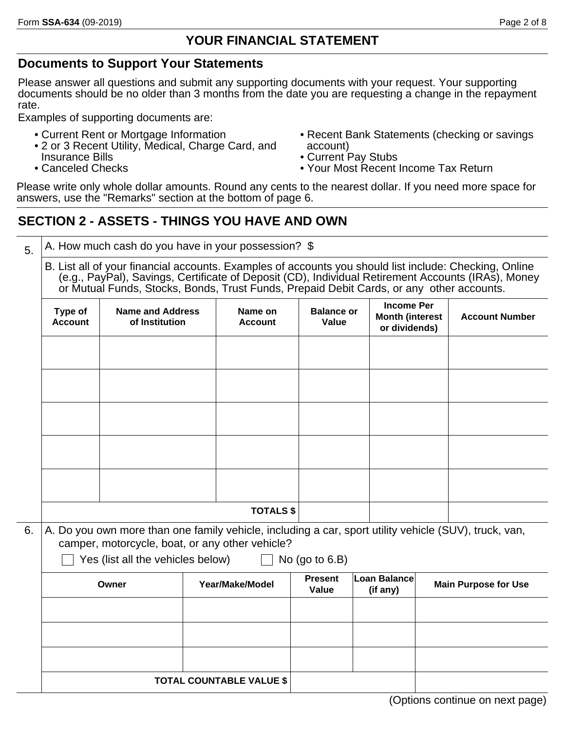#### **YOUR FINANCIAL STATEMENT**

#### **Documents to Support Your Statements**

Please answer all questions and submit any supporting documents with your request. Your supporting documents should be no older than 3 months from the date you are requesting a change in the repayment rate.

Examples of supporting documents are:

- Current Rent or Mortgage Information
- 2 or 3 Recent Utility, Medical, Charge Card, and Insurance Bills
- Canceled Checks
- Recent Bank Statements (checking or savings account)
- Current Pay Stubs
- Your Most Recent Income Tax Return

Please write only whole dollar amounts. Round any cents to the nearest dollar. If you need more space for answers, use the "Remarks" section at the bottom of page 6.

### **SECTION 2 - ASSETS - THINGS YOU HAVE AND OWN**

 $_{5.}$   $\,$  | A. How much cash do you have in your possession?  $\,$  \$

B. List all of your financial accounts. Examples of accounts you should list include: Checking, Online (e.g., PayPal), Savings, Certificate of Deposit (CD), Individual Retirement Accounts (IRAs), Money or Mutual Funds, Stocks, Bonds, Trust Funds, Prepaid Debit Cards, or any other accounts.

|    | Type of<br><b>Account</b> | Name and Address<br>of Institution                                                                                                                       | Name on<br><b>Account</b> | <b>Balance or</b><br>Value | <b>Income Per</b><br><b>Month (interest</b><br>or dividends) | <b>Account Number</b> |
|----|---------------------------|----------------------------------------------------------------------------------------------------------------------------------------------------------|---------------------------|----------------------------|--------------------------------------------------------------|-----------------------|
|    |                           |                                                                                                                                                          |                           |                            |                                                              |                       |
|    |                           |                                                                                                                                                          |                           |                            |                                                              |                       |
|    |                           |                                                                                                                                                          |                           |                            |                                                              |                       |
|    |                           |                                                                                                                                                          |                           |                            |                                                              |                       |
|    |                           |                                                                                                                                                          |                           |                            |                                                              |                       |
|    |                           |                                                                                                                                                          | <b>TOTALS \$</b>          |                            |                                                              |                       |
| 6. |                           | A. Do you own more than one family vehicle, including a car, sport utility vehicle (SUV), truck, van,<br>camper, motorcycle, boat, or any other vehicle? |                           |                            |                                                              |                       |

| Yes (list all the vehicles below) | $\Box$ No (go to 6.B) |
|-----------------------------------|-----------------------|
|-----------------------------------|-----------------------|

| Owner | Year/Make/Model                 | <b>Present</b><br>Value | Loan Balance<br>(if any) | <b>Main Purpose for Use</b> |
|-------|---------------------------------|-------------------------|--------------------------|-----------------------------|
|       |                                 |                         |                          |                             |
|       |                                 |                         |                          |                             |
|       |                                 |                         |                          |                             |
|       | <b>TOTAL COUNTABLE VALUE \$</b> |                         |                          |                             |

(Options continue on next page)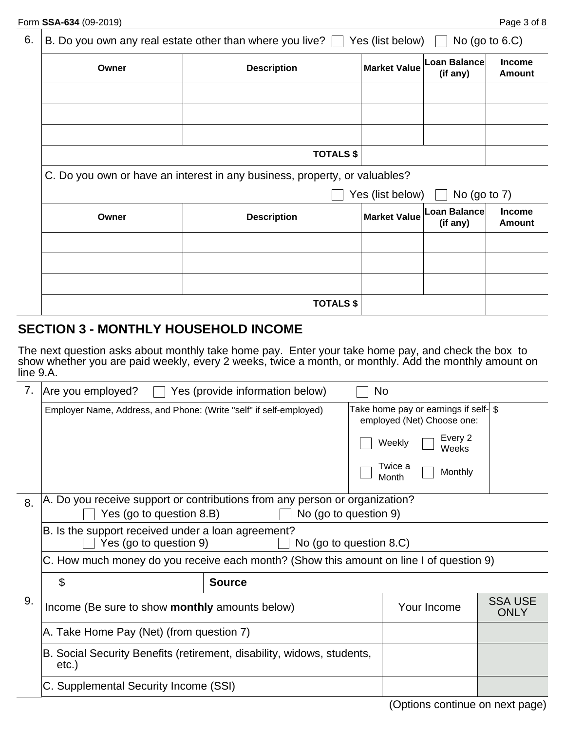| 6.<br>B. Do you own any real estate other than where you live? $\Box$<br>Yes (list below) $\Box$ |       |                                                                            | No (go to $6.C$ )   |                          |                         |  |
|--------------------------------------------------------------------------------------------------|-------|----------------------------------------------------------------------------|---------------------|--------------------------|-------------------------|--|
|                                                                                                  | Owner | <b>Description</b>                                                         | Market Value        | Loan Balance<br>(if any) | Income<br><b>Amount</b> |  |
|                                                                                                  |       |                                                                            |                     |                          |                         |  |
|                                                                                                  |       |                                                                            |                     |                          |                         |  |
|                                                                                                  |       | <b>TOTALS \$</b>                                                           |                     |                          |                         |  |
|                                                                                                  |       | C. Do you own or have an interest in any business, property, or valuables? |                     |                          |                         |  |
|                                                                                                  |       |                                                                            | Yes (list below)    | No (go to $7$ )          |                         |  |
|                                                                                                  | Owner | <b>Description</b>                                                         | <b>Market Value</b> | Loan Balance<br>(if any) | Income<br><b>Amount</b> |  |
|                                                                                                  |       |                                                                            |                     |                          |                         |  |
|                                                                                                  |       |                                                                            |                     |                          |                         |  |
|                                                                                                  |       |                                                                            |                     |                          |                         |  |
|                                                                                                  |       | <b>TOTALS \$</b>                                                           |                     |                          |                         |  |

### **SECTION 3 - MONTHLY HOUSEHOLD INCOME**

The next question asks about monthly take home pay. Enter your take home pay, and check the box to show whether you are paid weekly, every 2 weeks, twice a month, or monthly. Add the monthly amount on line 9.A.

| 7. | Are you employed?<br>Yes (provide information below)<br>No.                                                                      |                         |                                                                      |                               |
|----|----------------------------------------------------------------------------------------------------------------------------------|-------------------------|----------------------------------------------------------------------|-------------------------------|
|    | Employer Name, Address, and Phone: (Write "self" if self-employed)                                                               |                         | Take home pay or earnings if self-  \$<br>employed (Net) Choose one: |                               |
|    |                                                                                                                                  |                         | Every 2<br>Weekly<br>Weeks                                           |                               |
|    |                                                                                                                                  |                         | Twice a<br>Monthly<br>Month                                          |                               |
| 8. | A. Do you receive support or contributions from any person or organization?<br>Yes (go to question 8.B)<br>No (go to question 9) |                         |                                                                      |                               |
|    | B. Is the support received under a loan agreement?                                                                               |                         |                                                                      |                               |
|    | Yes (go to question 9)                                                                                                           | No (go to question 8.C) |                                                                      |                               |
|    | C. How much money do you receive each month? (Show this amount on line I of question 9)                                          |                         |                                                                      |                               |
|    | \$                                                                                                                               | <b>Source</b>           |                                                                      |                               |
| 9. | Income (Be sure to show monthly amounts below)                                                                                   |                         | Your Income                                                          | <b>SSA USE</b><br><b>ONLY</b> |
|    | A. Take Home Pay (Net) (from question 7)                                                                                         |                         |                                                                      |                               |
|    | B. Social Security Benefits (retirement, disability, widows, students,<br>etc.)                                                  |                         |                                                                      |                               |
|    | C. Supplemental Security Income (SSI)                                                                                            |                         |                                                                      |                               |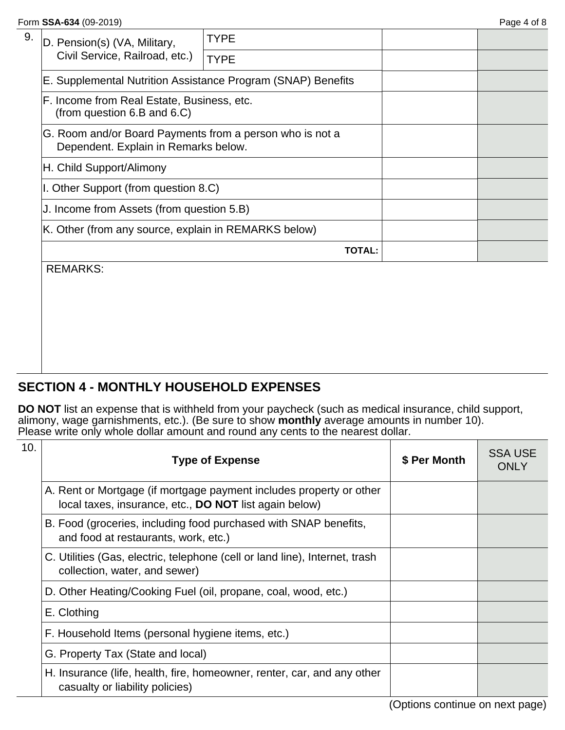| D. Pension(s) (VA, Military,<br>Civil Service, Railroad, etc.)                                   | <b>TYPE</b>                                                  |  |  |
|--------------------------------------------------------------------------------------------------|--------------------------------------------------------------|--|--|
|                                                                                                  | <b>TYPE</b>                                                  |  |  |
|                                                                                                  | E. Supplemental Nutrition Assistance Program (SNAP) Benefits |  |  |
| F. Income from Real Estate, Business, etc.<br>(from question $6.B$ and $6.C$ )                   |                                                              |  |  |
| G. Room and/or Board Payments from a person who is not a<br>Dependent. Explain in Remarks below. |                                                              |  |  |
| H. Child Support/Alimony                                                                         |                                                              |  |  |
| I. Other Support (from question 8.C)                                                             |                                                              |  |  |
| J. Income from Assets (from question 5.B)                                                        |                                                              |  |  |
| K. Other (from any source, explain in REMARKS below)                                             |                                                              |  |  |
| <b>TOTAL:</b>                                                                                    |                                                              |  |  |
| <b>REMARKS:</b>                                                                                  |                                                              |  |  |
|                                                                                                  |                                                              |  |  |

### **SECTION 4 - MONTHLY HOUSEHOLD EXPENSES**

**DO NOT** list an expense that is withheld from your paycheck (such as medical insurance, child support, alimony, wage garnishments, etc.). (Be sure to show **monthly** average amounts in number 10). Please write only whole dollar amount and round any cents to the nearest dollar.

| 10. | <b>Type of Expense</b>                                                                                                               | \$ Per Month | <b>SSA USE</b><br><b>ONLY</b> |
|-----|--------------------------------------------------------------------------------------------------------------------------------------|--------------|-------------------------------|
|     | A. Rent or Mortgage (if mortgage payment includes property or other<br>local taxes, insurance, etc., <b>DO NOT</b> list again below) |              |                               |
|     | B. Food (groceries, including food purchased with SNAP benefits,<br>and food at restaurants, work, etc.)                             |              |                               |
|     | C. Utilities (Gas, electric, telephone (cell or land line), Internet, trash<br>collection, water, and sewer)                         |              |                               |
|     | D. Other Heating/Cooking Fuel (oil, propane, coal, wood, etc.)                                                                       |              |                               |
|     | E. Clothing                                                                                                                          |              |                               |
|     | F. Household Items (personal hygiene items, etc.)                                                                                    |              |                               |
|     | G. Property Tax (State and local)                                                                                                    |              |                               |
|     | H. Insurance (life, health, fire, homeowner, renter, car, and any other<br>casualty or liability policies)                           |              |                               |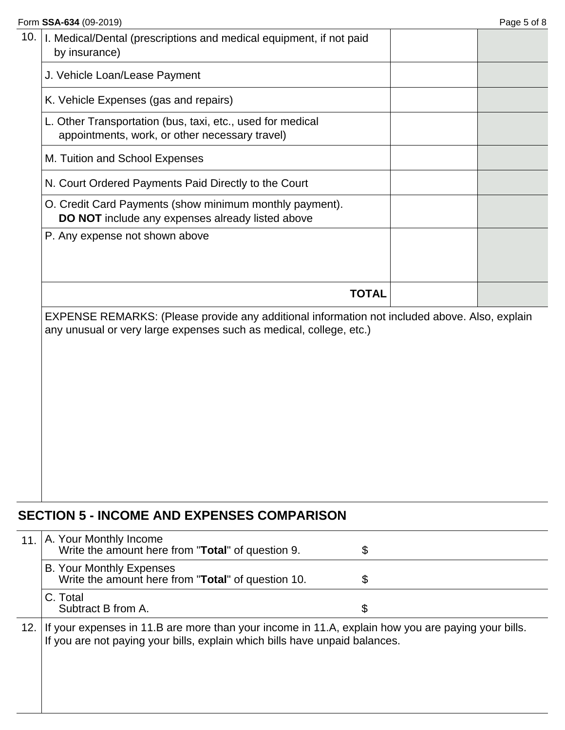| Form SSA-634 (09-2019)                                                                                       | Page 5 of 8 |
|--------------------------------------------------------------------------------------------------------------|-------------|
| 10.<br>I. Medical/Dental (prescriptions and medical equipment, if not paid<br>by insurance)                  |             |
| J. Vehicle Loan/Lease Payment                                                                                |             |
| K. Vehicle Expenses (gas and repairs)                                                                        |             |
| L. Other Transportation (bus, taxi, etc., used for medical<br>appointments, work, or other necessary travel) |             |
| M. Tuition and School Expenses                                                                               |             |
| N. Court Ordered Payments Paid Directly to the Court                                                         |             |
| O. Credit Card Payments (show minimum monthly payment).<br>DO NOT include any expenses already listed above  |             |
| P. Any expense not shown above                                                                               |             |
| <b>TOTAL</b>                                                                                                 |             |

EXPENSE REMARKS: (Please provide any additional information not included above. Also, explain any unusual or very large expenses such as medical, college, etc.)

# **SECTION 5 - INCOME AND EXPENSES COMPARISON**

| 11.   | A. Your Monthly Income<br>Write the amount here from "Total" of question 9.                                                                                                       | \$ |
|-------|-----------------------------------------------------------------------------------------------------------------------------------------------------------------------------------|----|
|       | <b>B. Your Monthly Expenses</b><br>Write the amount here from "Total" of question 10.                                                                                             | \$ |
|       | C. Total<br>Subtract B from A.                                                                                                                                                    | \$ |
| 12. l | If your expenses in 11.B are more than your income in 11.A, explain how you are paying your bills.<br>If you are not paying your bills, explain which bills have unpaid balances. |    |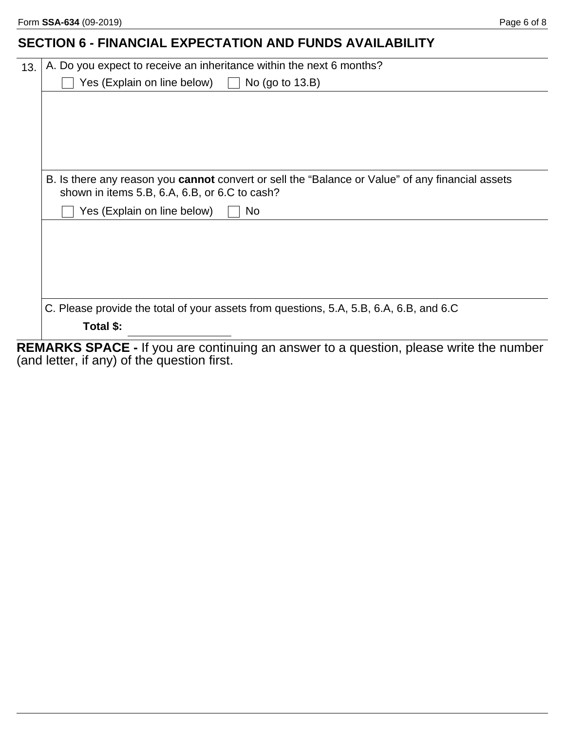# **SECTION 6 - FINANCIAL EXPECTATION AND FUNDS AVAILABILITY**

| A. Do you expect to receive an inheritance within the next 6 months?                                                                              |
|---------------------------------------------------------------------------------------------------------------------------------------------------|
| Yes (Explain on line below) $\Box$<br>No (go to $13.B$ )                                                                                          |
|                                                                                                                                                   |
|                                                                                                                                                   |
|                                                                                                                                                   |
|                                                                                                                                                   |
|                                                                                                                                                   |
| B. Is there any reason you cannot convert or sell the "Balance or Value" of any financial assets<br>shown in items 5.B, 6.A, 6.B, or 6.C to cash? |
| Yes (Explain on line below)<br>N <sub>o</sub>                                                                                                     |
|                                                                                                                                                   |
|                                                                                                                                                   |
|                                                                                                                                                   |
|                                                                                                                                                   |
|                                                                                                                                                   |
| C. Please provide the total of your assets from questions, 5.A, 5.B, 6.A, 6.B, and 6.C                                                            |
| Total \$:                                                                                                                                         |
|                                                                                                                                                   |

**REMARKS SPACE -** If you are continuing an answer to a question, please write the number (and letter, if any) of the question first.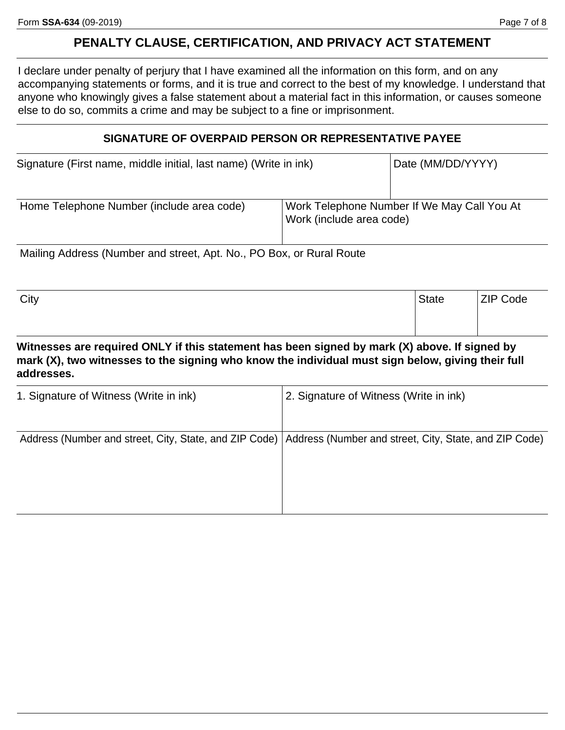#### **PENALTY CLAUSE, CERTIFICATION, AND PRIVACY ACT STATEMENT**

I declare under penalty of perjury that I have examined all the information on this form, and on any accompanying statements or forms, and it is true and correct to the best of my knowledge. I understand that anyone who knowingly gives a false statement about a material fact in this information, or causes someone else to do so, commits a crime and may be subject to a fine or imprisonment.

#### **SIGNATURE OF OVERPAID PERSON OR REPRESENTATIVE PAYEE**

| Signature (First name, middle initial, last name) (Write in ink) |                                                                         | Date (MM/DD/YYYY) |
|------------------------------------------------------------------|-------------------------------------------------------------------------|-------------------|
| Home Telephone Number (include area code)                        | Work Telephone Number If We May Call You At<br>Work (include area code) |                   |

Mailing Address (Number and street, Apt. No., PO Box, or Rural Route

| City | <b>State</b> | ZIP Code |
|------|--------------|----------|
|      |              |          |
|      |              |          |

**Witnesses are required ONLY if this statement has been signed by mark (X) above. If signed by mark (X), two witnesses to the signing who know the individual must sign below, giving their full addresses.**

| 1. Signature of Witness (Write in ink) | 2. Signature of Witness (Write in ink)                                                                          |
|----------------------------------------|-----------------------------------------------------------------------------------------------------------------|
|                                        | Address (Number and street, City, State, and ZIP Code)   Address (Number and street, City, State, and ZIP Code) |
|                                        |                                                                                                                 |